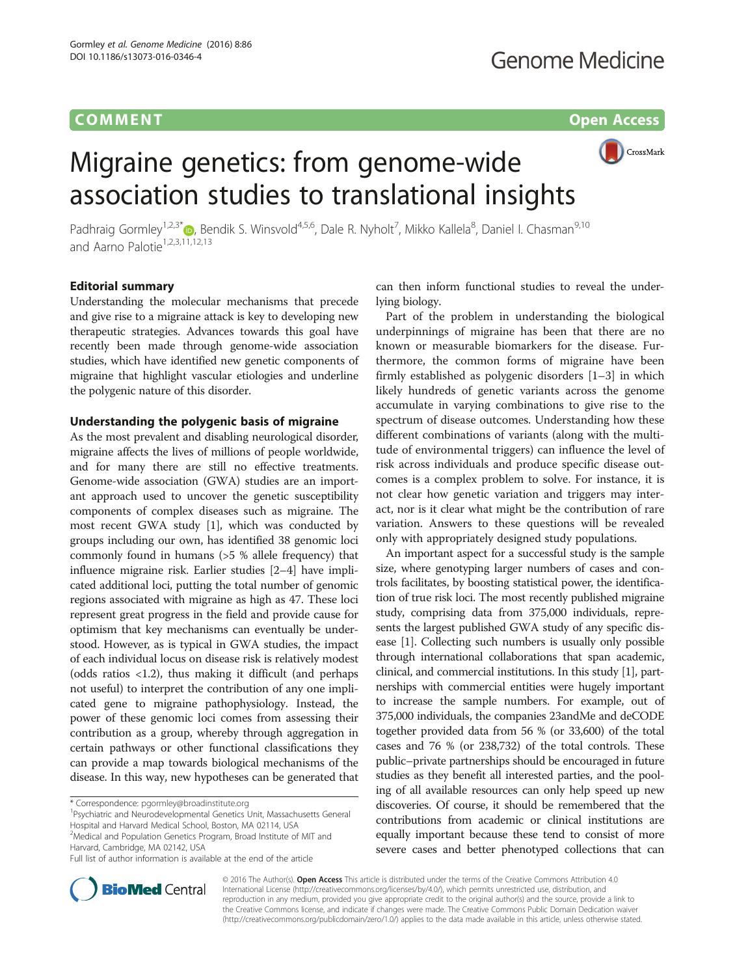## **COMMENT COMMENT COMMENT**



# Migraine genetics: from genome-wide association studies to translational insights

Padhraig Gormley<sup>1,2,3\*</sup>®, Bendik S. Winsvold<sup>4,5,6</sup>, Dale R. Nyholt<sup>7</sup>, Mikko Kallela<sup>8</sup>, Daniel I. Chasman<sup>9,10</sup> and Aarno Palotie<sup>1,2,3,11,12,13</sup>

## Editorial summary

Understanding the molecular mechanisms that precede and give rise to a migraine attack is key to developing new therapeutic strategies. Advances towards this goal have recently been made through genome-wide association studies, which have identified new genetic components of migraine that highlight vascular etiologies and underline the polygenic nature of this disorder.

## Understanding the polygenic basis of migraine

As the most prevalent and disabling neurological disorder, migraine affects the lives of millions of people worldwide, and for many there are still no effective treatments. Genome-wide association (GWA) studies are an important approach used to uncover the genetic susceptibility components of complex diseases such as migraine. The most recent GWA study [\[1](#page-2-0)], which was conducted by groups including our own, has identified 38 genomic loci commonly found in humans (>5 % allele frequency) that influence migraine risk. Earlier studies [[2](#page-2-0)–[4](#page-2-0)] have implicated additional loci, putting the total number of genomic regions associated with migraine as high as 47. These loci represent great progress in the field and provide cause for optimism that key mechanisms can eventually be understood. However, as is typical in GWA studies, the impact of each individual locus on disease risk is relatively modest (odds ratios <1.2), thus making it difficult (and perhaps not useful) to interpret the contribution of any one implicated gene to migraine pathophysiology. Instead, the power of these genomic loci comes from assessing their contribution as a group, whereby through aggregation in certain pathways or other functional classifications they can provide a map towards biological mechanisms of the disease. In this way, new hypotheses can be generated that

\* Correspondence: [pgormley@broadinstitute.org](mailto:pgormley@broadinstitute.org) <sup>1</sup>

<sup>1</sup>Psychiatric and Neurodevelopmental Genetics Unit, Massachusetts General Hospital and Harvard Medical School, Boston, MA 02114, USA <sup>2</sup>Medical and Population Genetics Program, Broad Institute of MIT and

Harvard, Cambridge, MA 02142, USA



Part of the problem in understanding the biological underpinnings of migraine has been that there are no known or measurable biomarkers for the disease. Furthermore, the common forms of migraine have been firmly established as polygenic disorders [[1](#page-2-0)–[3\]](#page-2-0) in which likely hundreds of genetic variants across the genome accumulate in varying combinations to give rise to the spectrum of disease outcomes. Understanding how these different combinations of variants (along with the multitude of environmental triggers) can influence the level of risk across individuals and produce specific disease outcomes is a complex problem to solve. For instance, it is not clear how genetic variation and triggers may interact, nor is it clear what might be the contribution of rare variation. Answers to these questions will be revealed only with appropriately designed study populations.

An important aspect for a successful study is the sample size, where genotyping larger numbers of cases and controls facilitates, by boosting statistical power, the identification of true risk loci. The most recently published migraine study, comprising data from 375,000 individuals, represents the largest published GWA study of any specific disease [\[1\]](#page-2-0). Collecting such numbers is usually only possible through international collaborations that span academic, clinical, and commercial institutions. In this study [\[1\]](#page-2-0), partnerships with commercial entities were hugely important to increase the sample numbers. For example, out of 375,000 individuals, the companies 23andMe and deCODE together provided data from 56 % (or 33,600) of the total cases and 76 % (or 238,732) of the total controls. These public–private partnerships should be encouraged in future studies as they benefit all interested parties, and the pooling of all available resources can only help speed up new discoveries. Of course, it should be remembered that the contributions from academic or clinical institutions are equally important because these tend to consist of more severe cases and better phenotyped collections that can



© 2016 The Author(s). Open Access This article is distributed under the terms of the Creative Commons Attribution 4.0 International License [\(http://creativecommons.org/licenses/by/4.0/](http://creativecommons.org/licenses/by/4.0/)), which permits unrestricted use, distribution, and reproduction in any medium, provided you give appropriate credit to the original author(s) and the source, provide a link to the Creative Commons license, and indicate if changes were made. The Creative Commons Public Domain Dedication waiver [\(http://creativecommons.org/publicdomain/zero/1.0/](http://creativecommons.org/publicdomain/zero/1.0/)) applies to the data made available in this article, unless otherwise stated.

Full list of author information is available at the end of the article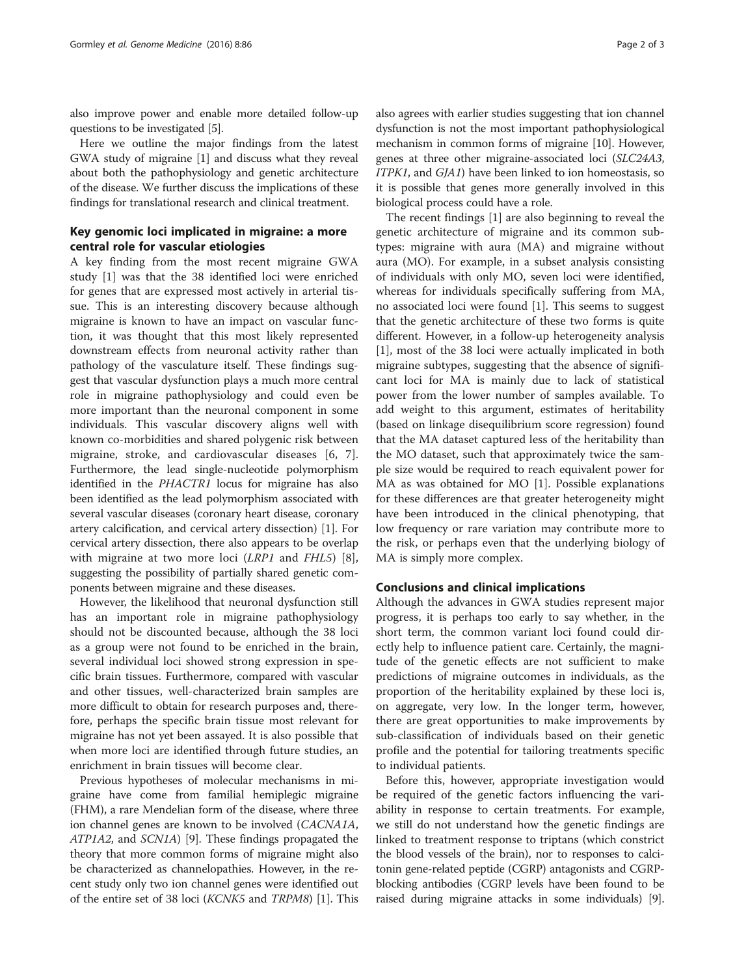also improve power and enable more detailed follow-up questions to be investigated [\[5](#page-2-0)].

Here we outline the major findings from the latest GWA study of migraine [\[1](#page-2-0)] and discuss what they reveal about both the pathophysiology and genetic architecture of the disease. We further discuss the implications of these findings for translational research and clinical treatment.

## Key genomic loci implicated in migraine: a more central role for vascular etiologies

A key finding from the most recent migraine GWA study [\[1\]](#page-2-0) was that the 38 identified loci were enriched for genes that are expressed most actively in arterial tissue. This is an interesting discovery because although migraine is known to have an impact on vascular function, it was thought that this most likely represented downstream effects from neuronal activity rather than pathology of the vasculature itself. These findings suggest that vascular dysfunction plays a much more central role in migraine pathophysiology and could even be more important than the neuronal component in some individuals. This vascular discovery aligns well with known co-morbidities and shared polygenic risk between migraine, stroke, and cardiovascular diseases [[6, 7](#page-2-0)]. Furthermore, the lead single-nucleotide polymorphism identified in the PHACTR1 locus for migraine has also been identified as the lead polymorphism associated with several vascular diseases (coronary heart disease, coronary artery calcification, and cervical artery dissection) [[1](#page-2-0)]. For cervical artery dissection, there also appears to be overlap with migraine at two more loci (LRP1 and FHL5) [\[8](#page-2-0)], suggesting the possibility of partially shared genetic components between migraine and these diseases.

However, the likelihood that neuronal dysfunction still has an important role in migraine pathophysiology should not be discounted because, although the 38 loci as a group were not found to be enriched in the brain, several individual loci showed strong expression in specific brain tissues. Furthermore, compared with vascular and other tissues, well-characterized brain samples are more difficult to obtain for research purposes and, therefore, perhaps the specific brain tissue most relevant for migraine has not yet been assayed. It is also possible that when more loci are identified through future studies, an enrichment in brain tissues will become clear.

Previous hypotheses of molecular mechanisms in migraine have come from familial hemiplegic migraine (FHM), a rare Mendelian form of the disease, where three ion channel genes are known to be involved (CACNA1A, ATP1A2, and SCN1A) [\[9](#page-2-0)]. These findings propagated the theory that more common forms of migraine might also be characterized as channelopathies. However, in the recent study only two ion channel genes were identified out of the entire set of 38 loci (KCNK5 and TRPM8) [[1](#page-2-0)]. This also agrees with earlier studies suggesting that ion channel dysfunction is not the most important pathophysiological mechanism in common forms of migraine [\[10\]](#page-2-0). However, genes at three other migraine-associated loci (SLC24A3, ITPK1, and GJA1) have been linked to ion homeostasis, so it is possible that genes more generally involved in this biological process could have a role.

The recent findings [[1\]](#page-2-0) are also beginning to reveal the genetic architecture of migraine and its common subtypes: migraine with aura (MA) and migraine without aura (MO). For example, in a subset analysis consisting of individuals with only MO, seven loci were identified, whereas for individuals specifically suffering from MA, no associated loci were found [\[1](#page-2-0)]. This seems to suggest that the genetic architecture of these two forms is quite different. However, in a follow-up heterogeneity analysis [[1\]](#page-2-0), most of the 38 loci were actually implicated in both migraine subtypes, suggesting that the absence of significant loci for MA is mainly due to lack of statistical power from the lower number of samples available. To add weight to this argument, estimates of heritability (based on linkage disequilibrium score regression) found that the MA dataset captured less of the heritability than the MO dataset, such that approximately twice the sample size would be required to reach equivalent power for MA as was obtained for MO [\[1\]](#page-2-0). Possible explanations for these differences are that greater heterogeneity might have been introduced in the clinical phenotyping, that low frequency or rare variation may contribute more to the risk, or perhaps even that the underlying biology of MA is simply more complex.

## Conclusions and clinical implications

Although the advances in GWA studies represent major progress, it is perhaps too early to say whether, in the short term, the common variant loci found could directly help to influence patient care. Certainly, the magnitude of the genetic effects are not sufficient to make predictions of migraine outcomes in individuals, as the proportion of the heritability explained by these loci is, on aggregate, very low. In the longer term, however, there are great opportunities to make improvements by sub-classification of individuals based on their genetic profile and the potential for tailoring treatments specific to individual patients.

Before this, however, appropriate investigation would be required of the genetic factors influencing the variability in response to certain treatments. For example, we still do not understand how the genetic findings are linked to treatment response to triptans (which constrict the blood vessels of the brain), nor to responses to calcitonin gene-related peptide (CGRP) antagonists and CGRPblocking antibodies (CGRP levels have been found to be raised during migraine attacks in some individuals) [[9](#page-2-0)].